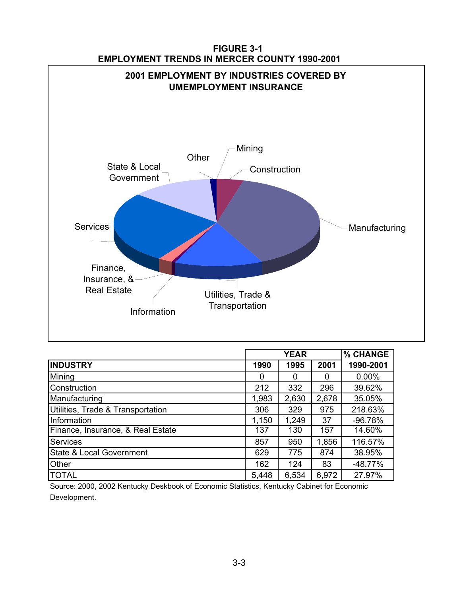

| <b>FIGURE 3-1</b>                                   |  |
|-----------------------------------------------------|--|
| <b>EMPLOYMENT TRENDS IN MERCER COUNTY 1990-2001</b> |  |

|                                     | <b>YEAR</b> |       |       | % CHANGE  |
|-------------------------------------|-------------|-------|-------|-----------|
| <b>INDUSTRY</b>                     | 1990        | 1995  | 2001  | 1990-2001 |
| Mining                              | 0           |       | 0     | $0.00\%$  |
| Construction                        | 212         | 332   | 296   | 39.62%    |
| Manufacturing                       | 1,983       | 2,630 | 2,678 | 35.05%    |
| Utilities, Trade & Transportation   | 306         | 329   | 975   | 218.63%   |
| Information                         | 1,150       | 1,249 | 37    | $-96.78%$ |
| Finance, Insurance, & Real Estate   | 137         | 130   | 157   | 14.60%    |
| <b>Services</b>                     | 857         | 950   | 1,856 | 116.57%   |
| <b>State &amp; Local Government</b> | 629         | 775   | 874   | 38.95%    |
| Other                               | 162         | 124   | 83    | $-48.77%$ |
| <b>TOTAL</b>                        | 5,448       | 6,534 | 6,972 | 27.97%    |

Source: 2000, 2002 Kentucky Deskbook of Economic Statistics, Kentucky Cabinet for Economic Development.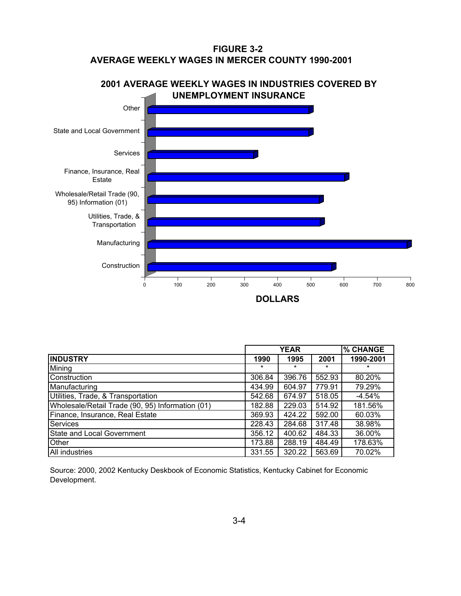## **AVERAGE WEEKLY WAGES IN MERCER COUNTY 1990-2001 FIGURE 3-2**



|                                                  |         | <b>YEAR</b> |        | % CHANGE  |
|--------------------------------------------------|---------|-------------|--------|-----------|
| <b>INDUSTRY</b>                                  | 1990    | 1995        | 2001   | 1990-2001 |
| Mining                                           | $\star$ | $\star$     | *      |           |
| Construction                                     | 306.84  | 396.76      | 552.93 | 80.20%    |
| Manufacturing                                    | 434.99  | 604.97      | 779.91 | 79.29%    |
| Utilities, Trade, & Transportation               | 542.68  | 674.97      | 518.05 | $-4.54\%$ |
| Wholesale/Retail Trade (90, 95) Information (01) | 182.88  | 229.03      | 514.92 | 181.56%   |
| Finance, Insurance, Real Estate                  | 369.93  | 424.22      | 592.00 | 60.03%    |
| Services                                         | 228.43  | 284.68      | 317.48 | 38.98%    |
| <b>State and Local Government</b>                | 356.12  | 400.62      | 484.33 | 36.00%    |
| Other                                            | 173.88  | 288.19      | 484.49 | 178.63%   |
| All industries                                   | 331.55  | 320.22      | 563.69 | 70.02%    |

Source: 2000, 2002 Kentucky Deskbook of Economic Statistics, Kentucky Cabinet for Economic Development.